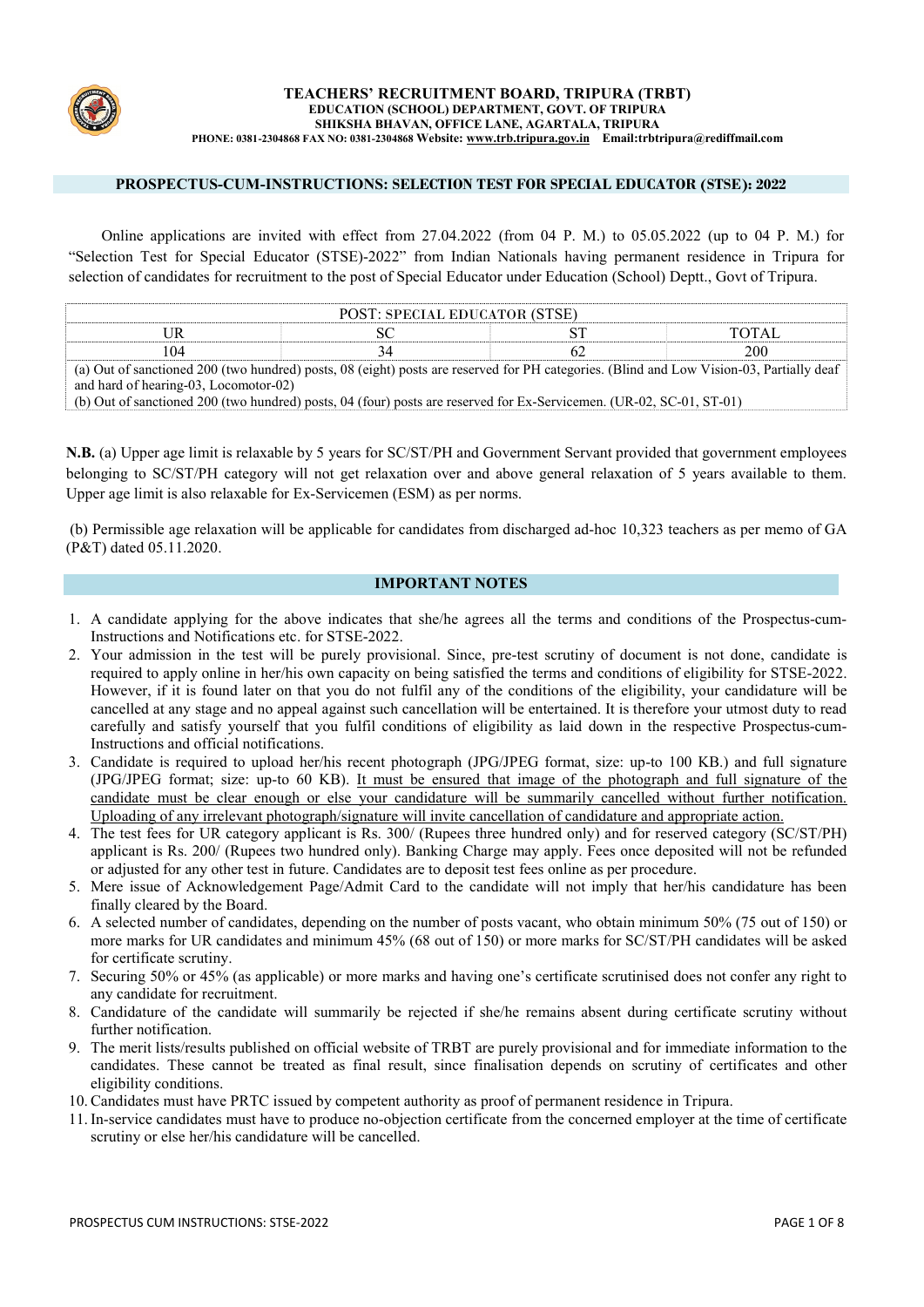

#### TEACHERS' RECRUITMENT BOARD, TRIPURA (TRBT) EDUCATION (SCHOOL) DEPARTMENT, GOVT. OF TRIPURA SHIKSHA BHAVAN, OFFICE LANE, AGARTALA, TRIPURA PHONE: 0381-2304868 FAX NO: 0381-2304868 Website: [www.trb.tripura.gov.in Em](http://www.trb.tripura.gov.in/)ail:trbtripura@rediffmail.com

## PROSPECTUS-CUM-INSTRUCTIONS: SELECTION TEST FOR SPECIAL EDUCATOR (STSE): 2022

Online applications are invited with effect from 27.04.2022 (from 04 P. M.) to 05.05.2022 (up to 04 P. M.) for "Selection Test for Special Educator (STSE)-2022" from Indian Nationals having permanent residence in Tripura for selection of candidates for recruitment to the post of Special Educator under Education (School) Deptt., Govt of Tripura.

|  | POST: SPECIAL EDUCATOR (STSE)                                                                                                            |  |  |     |  |
|--|------------------------------------------------------------------------------------------------------------------------------------------|--|--|-----|--|
|  |                                                                                                                                          |  |  |     |  |
|  |                                                                                                                                          |  |  | 200 |  |
|  | (a) Out of capationed 200 (two hundred) posts, 08 (eight) posts are recepted for DH categories. (Blind and Low Vision 03, Dartially deaf |  |  |     |  |

08 (eight) posts are reserved for PH categories. (Blind and Low Vision-03, Partially deaf and hard of hearing-03, Locomotor-02)

(b) Out of sanctioned 200 (two hundred) posts, 04 (four) posts are reserved for Ex-Servicemen. (UR-02, SC-01, ST-01)

N.B. (a) Upper age limit is relaxable by 5 years for SC/ST/PH and Government Servant provided that government employees belonging to SC/ST/PH category will not get relaxation over and above general relaxation of 5 years available to them. Upper age limit is also relaxable for Ex-Servicemen (ESM) as per norms.

(b) Permissible age relaxation will be applicable for candidates from discharged ad-hoc 10,323 teachers as per memo of GA (P&T) dated 05.11.2020.

### IMPORTANT NOTES

- 1. A candidate applying for the above indicates that she/he agrees all the terms and conditions of the Prospectus-cum-Instructions and Notifications etc. for STSE-2022.
- 2. Your admission in the test will be purely provisional. Since, pre-test scrutiny of document is not done, candidate is required to apply online in her/his own capacity on being satisfied the terms and conditions of eligibility for STSE-2022. However, if it is found later on that you do not fulfil any of the conditions of the eligibility, your candidature will be cancelled at any stage and no appeal against such cancellation will be entertained. It is therefore your utmost duty to read carefully and satisfy yourself that you fulfil conditions of eligibility as laid down in the respective Prospectus-cum-Instructions and official notifications.
- 3. Candidate is required to upload her/his recent photograph (JPG/JPEG format, size: up-to 100 KB.) and full signature (JPG/JPEG format; size: up-to 60 KB). It must be ensured that image of the photograph and full signature of the candidate must be clear enough or else your candidature will be summarily cancelled without further notification. Uploading of any irrelevant photograph/signature will invite cancellation of candidature and appropriate action.
- 4. The test fees for UR category applicant is Rs. 300/ (Rupees three hundred only) and for reserved category (SC/ST/PH) applicant is Rs. 200/ (Rupees two hundred only). Banking Charge may apply. Fees once deposited will not be refunded or adjusted for any other test in future. Candidates are to deposit test fees online as per procedure.
- 5. Mere issue of Acknowledgement Page/Admit Card to the candidate will not imply that her/his candidature has been finally cleared by the Board.
- 6. A selected number of candidates, depending on the number of posts vacant, who obtain minimum 50% (75 out of 150) or more marks for UR candidates and minimum 45% (68 out of 150) or more marks for SC/ST/PH candidates will be asked for certificate scrutiny.
- 7. Securing 50% or 45% (as applicable) or more marks and having one's certificate scrutinised does not confer any right to any candidate for recruitment.
- 8. Candidature of the candidate will summarily be rejected if she/he remains absent during certificate scrutiny without further notification.
- 9. The merit lists/results published on official website of TRBT are purely provisional and for immediate information to the candidates. These cannot be treated as final result, since finalisation depends on scrutiny of certificates and other eligibility conditions.
- 10. Candidates must have PRTC issued by competent authority as proof of permanent residence in Tripura.
- 11. In-service candidates must have to produce no-objection certificate from the concerned employer at the time of certificate scrutiny or else her/his candidature will be cancelled.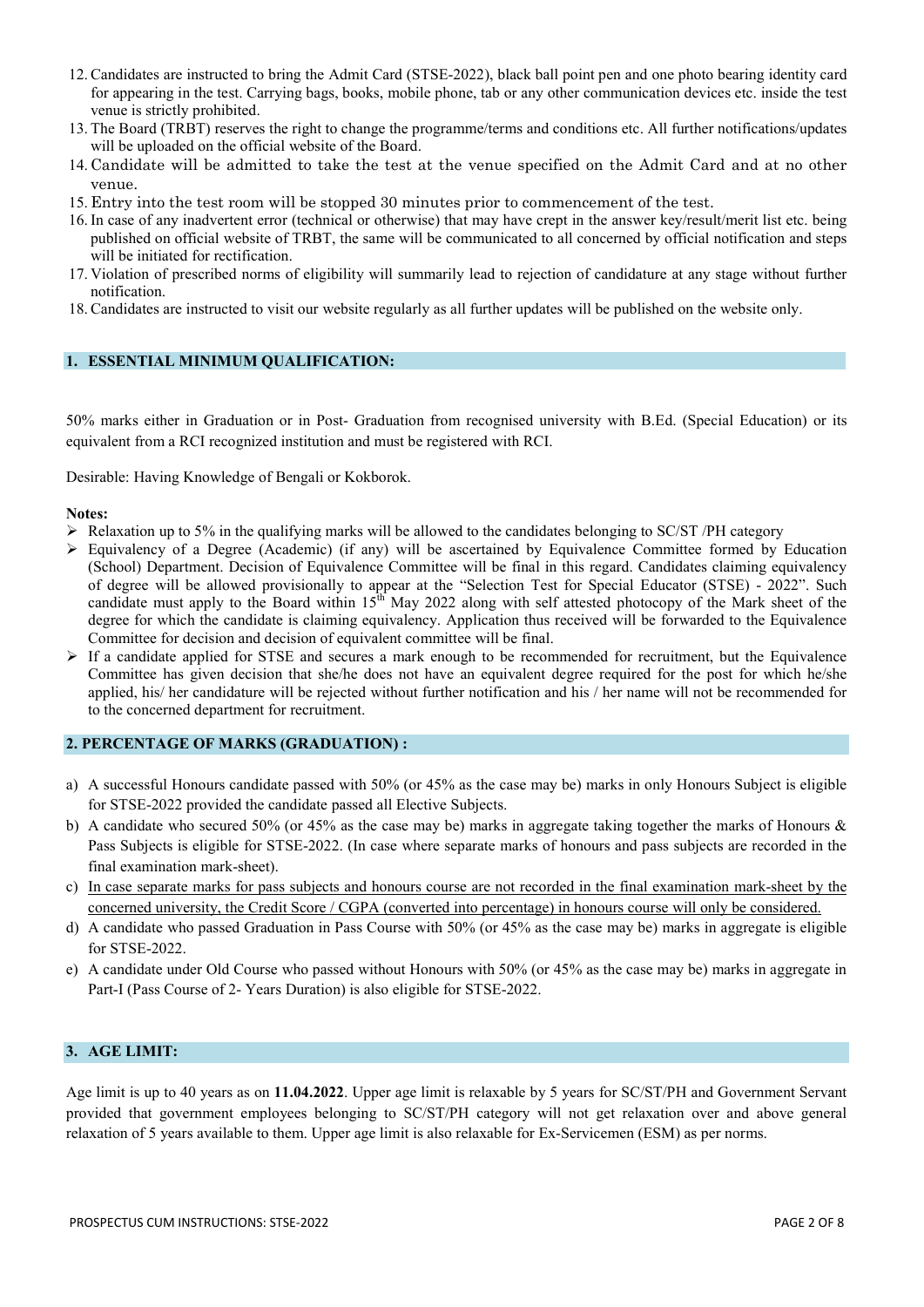- 12. Candidates are instructed to bring the Admit Card (STSE-2022), black ball point pen and one photo bearing identity card for appearing in the test. Carrying bags, books, mobile phone, tab or any other communication devices etc. inside the test venue is strictly prohibited.
- 13. The Board (TRBT) reserves the right to change the programme/terms and conditions etc. All further notifications/updates will be uploaded on the official website of the Board.
- 14. Candidate will be admitted to take the test at the venue specified on the Admit Card and at no other venue.
- 15. Entry into the test room will be stopped 30 minutes prior to commencement of the test.
- 16. In case of any inadvertent error (technical or otherwise) that may have crept in the answer key/result/merit list etc. being published on official website of TRBT, the same will be communicated to all concerned by official notification and steps will be initiated for rectification.
- 17. Violation of prescribed norms of eligibility will summarily lead to rejection of candidature at any stage without further notification.
- 18. Candidates are instructed to visit our website regularly as all further updates will be published on the website only.

### 1. ESSENTIAL MINIMUM QUALIFICATION:

50% marks either in Graduation or in Post- Graduation from recognised university with B.Ed. (Special Education) or its equivalent from a RCI recognized institution and must be registered with RCI.

Desirable: Having Knowledge of Bengali or Kokborok.

#### Notes:

- Relaxation up to 5% in the qualifying marks will be allowed to the candidates belonging to SC/ST /PH category
- $\triangleright$  Equivalency of a Degree (Academic) (if any) will be ascertained by Equivalence Committee formed by Education (School) Department. Decision of Equivalence Committee will be final in this regard. Candidates claiming equivalency of degree will be allowed provisionally to appear at the "Selection Test for Special Educator (STSE) - 2022". Such candidate must apply to the Board within  $15^{\text{th}}$  May 2022 along with self attested photocopy of the Mark sheet of the degree for which the candidate is claiming equivalency. Application thus received will be forwarded to the Equivalence Committee for decision and decision of equivalent committee will be final.
- $\triangleright$  If a candidate applied for STSE and secures a mark enough to be recommended for recruitment, but the Equivalence Committee has given decision that she/he does not have an equivalent degree required for the post for which he/she applied, his/ her candidature will be rejected without further notification and his / her name will not be recommended for to the concerned department for recruitment.

## 2. PERCENTAGE OF MARKS (GRADUATION) :

- a) A successful Honours candidate passed with 50% (or 45% as the case may be) marks in only Honours Subject is eligible for STSE-2022 provided the candidate passed all Elective Subjects.
- b) A candidate who secured 50% (or 45% as the case may be) marks in aggregate taking together the marks of Honours & Pass Subjects is eligible for STSE-2022. (In case where separate marks of honours and pass subjects are recorded in the final examination mark-sheet).
- c) In case separate marks for pass subjects and honours course are not recorded in the final examination mark-sheet by the concerned university, the Credit Score / CGPA (converted into percentage) in honours course will only be considered.
- d) A candidate who passed Graduation in Pass Course with 50% (or 45% as the case may be) marks in aggregate is eligible for STSE-2022.
- e) A candidate under Old Course who passed without Honours with 50% (or 45% as the case may be) marks in aggregate in Part-I (Pass Course of 2- Years Duration) is also eligible for STSE-2022.

## 3. AGE LIMIT:

Age limit is up to 40 years as on 11.04.2022. Upper age limit is relaxable by 5 years for SC/ST/PH and Government Servant provided that government employees belonging to SC/ST/PH category will not get relaxation over and above general relaxation of 5 years available to them. Upper age limit is also relaxable for Ex-Servicemen (ESM) as per norms.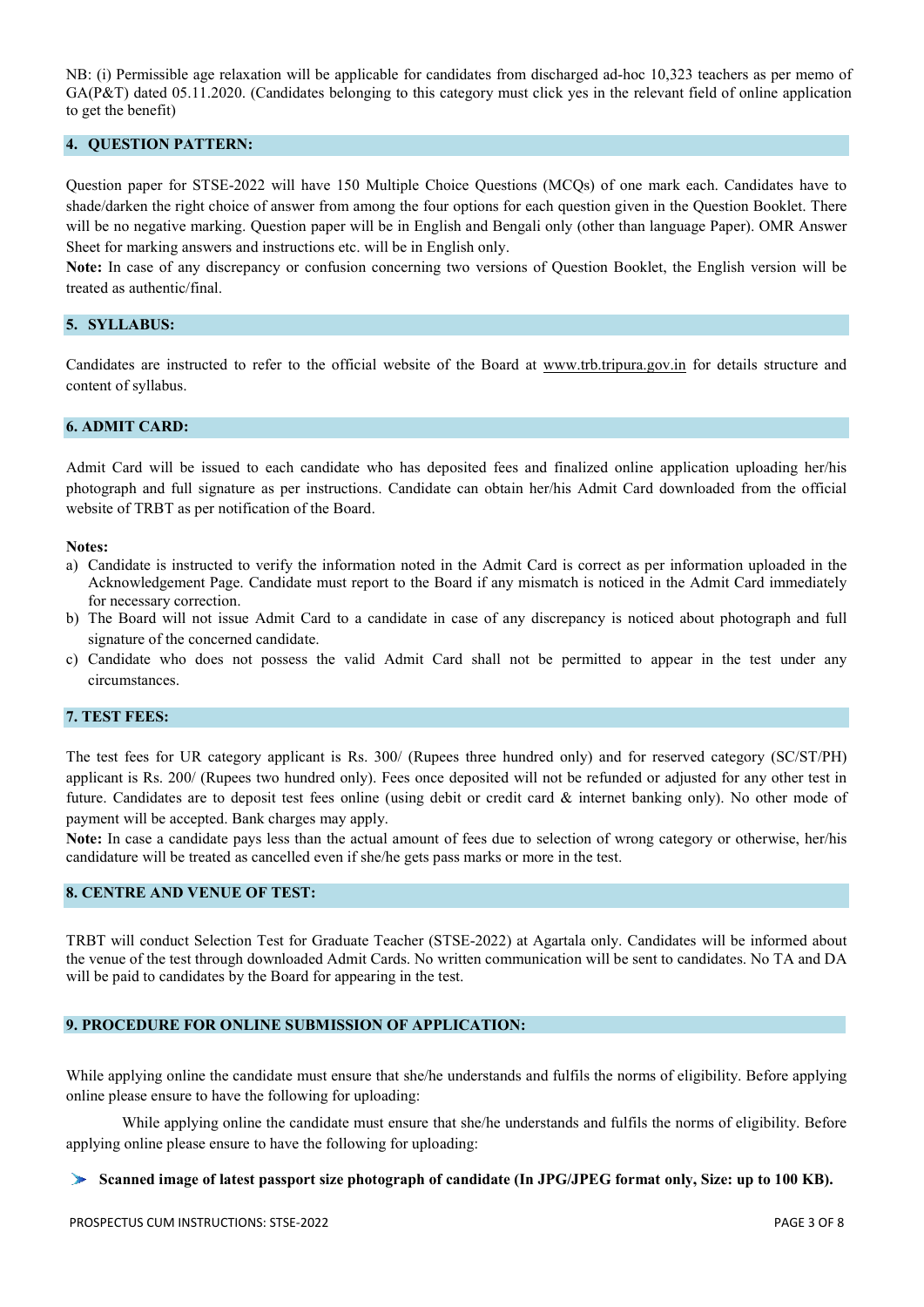NB: (i) Permissible age relaxation will be applicable for candidates from discharged ad-hoc 10,323 teachers as per memo of GA(P&T) dated 05.11.2020. (Candidates belonging to this category must click yes in the relevant field of online application to get the benefit)

# 4. QUESTION PATTERN:

Question paper for STSE-2022 will have 150 Multiple Choice Questions (MCQs) of one mark each. Candidates have to shade/darken the right choice of answer from among the four options for each question given in the Question Booklet. There will be no negative marking. Question paper will be in English and Bengali only (other than language Paper). OMR Answer Sheet for marking answers and instructions etc. will be in English only.

Note: In case of any discrepancy or confusion concerning two versions of Question Booklet, the English version will be treated as authentic/final.

## 5. SYLLABUS:

Candidates are instructed to refer to the official website of the Board at [www.trb.tripura.gov.in](http://www.trb.tripura.gov.in/) for details structure and content of syllabus.

### 6. ADMIT CARD:

Admit Card will be issued to each candidate who has deposited fees and finalized online application uploading her/his photograph and full signature as per instructions. Candidate can obtain her/his Admit Card downloaded from the official website of TRBT as per notification of the Board.

#### Notes:

- a) Candidate is instructed to verify the information noted in the Admit Card is correct as per information uploaded in the Acknowledgement Page. Candidate must report to the Board if any mismatch is noticed in the Admit Card immediately for necessary correction.
- b) The Board will not issue Admit Card to a candidate in case of any discrepancy is noticed about photograph and full signature of the concerned candidate.
- c) Candidate who does not possess the valid Admit Card shall not be permitted to appear in the test under any circumstances.

## 7. TEST FEES:

The test fees for UR category applicant is Rs. 300/ (Rupees three hundred only) and for reserved category (SC/ST/PH) applicant is Rs. 200/ (Rupees two hundred only). Fees once deposited will not be refunded or adjusted for any other test in future. Candidates are to deposit test fees online (using debit or credit card & internet banking only). No other mode of payment will be accepted. Bank charges may apply.

Note: In case a candidate pays less than the actual amount of fees due to selection of wrong category or otherwise, her/his candidature will be treated as cancelled even if she/he gets pass marks or more in the test.

## 8. CENTRE AND VENUE OF TEST:

TRBT will conduct Selection Test for Graduate Teacher (STSE-2022) at Agartala only. Candidates will be informed about the venue of the test through downloaded Admit Cards. No written communication will be sent to candidates. No TA and DA will be paid to candidates by the Board for appearing in the test.

### 9. PROCEDURE FOR ONLINE SUBMISSION OF APPLICATION:

While applying online the candidate must ensure that she/he understands and fulfils the norms of eligibility. Before applying online please ensure to have the following for uploading:

While applying online the candidate must ensure that she/he understands and fulfils the norms of eligibility. Before applying online please ensure to have the following for uploading:

#### Scanned image of latest passport size photograph of candidate (In JPG/JPEG format only, Size: up to 100 KB).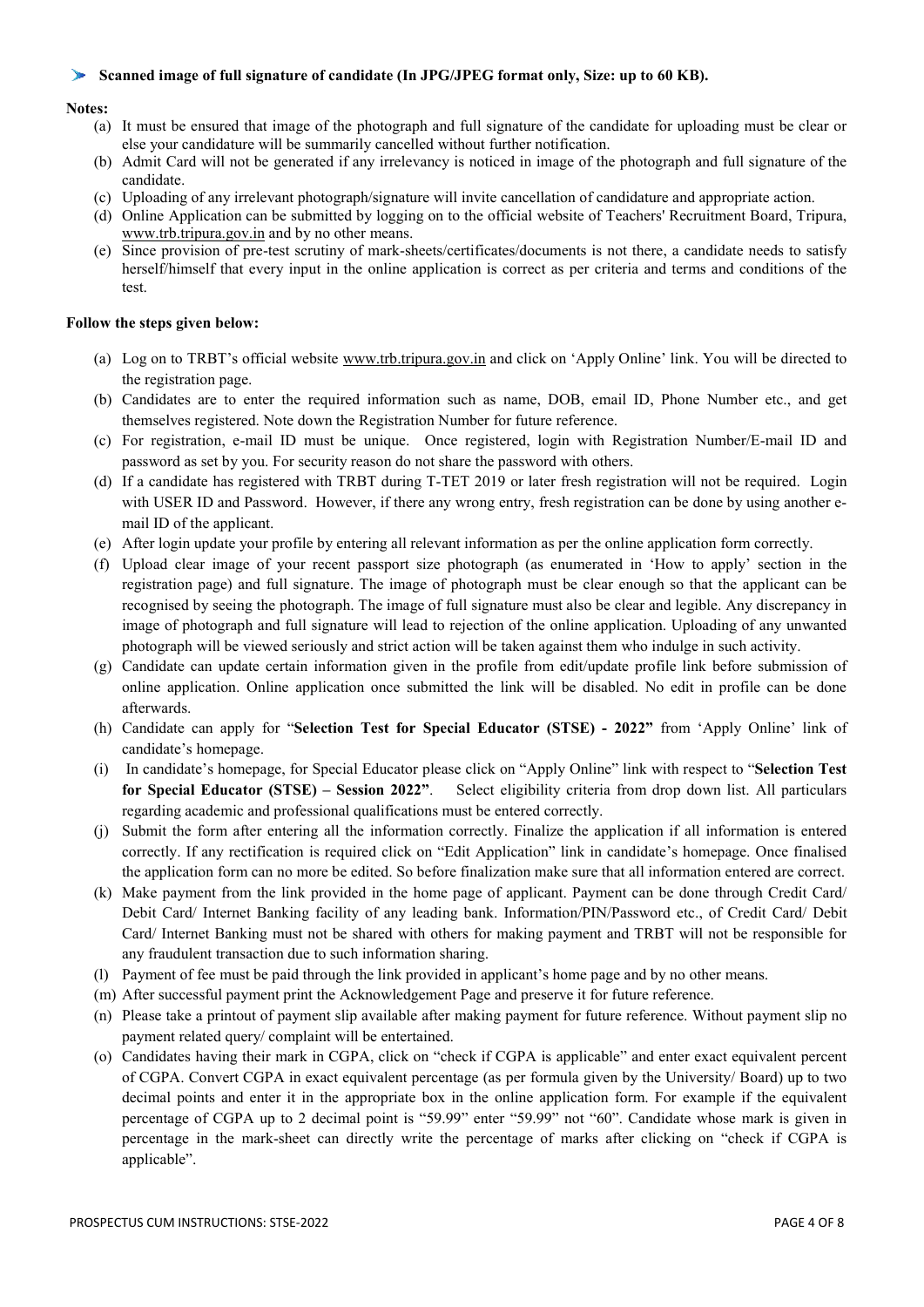## Scanned image of full signature of candidate (In JPG/JPEG format only, Size: up to 60 KB).

## Notes:

- (a) It must be ensured that image of the photograph and full signature of the candidate for uploading must be clear or else your candidature will be summarily cancelled without further notification.
- (b) Admit Card will not be generated if any irrelevancy is noticed in image of the photograph and full signature of the candidate.
- (c) Uploading of any irrelevant photograph/signature will invite cancellation of candidature and appropriate action.
- (d) Online Application can be submitted by logging on to the official website of Teachers' Recruitment Board, Tripura, [www.trb.tripura.gov.in](http://www.trb.tripura.gov.in/) and by no other means.
- (e) Since provision of pre-test scrutiny of mark-sheets/certificates/documents is not there, a candidate needs to satisfy herself/himself that every input in the online application is correct as per criteria and terms and conditions of the test.

## Follow the steps given below:

- (a) Log on to TRBT's official website [www.trb.tripura.gov.in](http://www.trb.tripura.gov.in/) and click on 'Apply Online' link. You will be directed to the registration page.
- (b) Candidates are to enter the required information such as name, DOB, email ID, Phone Number etc., and get themselves registered. Note down the Registration Number for future reference.
- (c) For registration, e-mail ID must be unique. Once registered, login with Registration Number/E-mail ID and password as set by you. For security reason do not share the password with others.
- (d) If a candidate has registered with TRBT during T-TET 2019 or later fresh registration will not be required. Login with USER ID and Password. However, if there any wrong entry, fresh registration can be done by using another email ID of the applicant.
- (e) After login update your profile by entering all relevant information as per the online application form correctly.
- (f) Upload clear image of your recent passport size photograph (as enumerated in 'How to apply' section in the registration page) and full signature. The image of photograph must be clear enough so that the applicant can be recognised by seeing the photograph. The image of full signature must also be clear and legible. Any discrepancy in image of photograph and full signature will lead to rejection of the online application. Uploading of any unwanted photograph will be viewed seriously and strict action will be taken against them who indulge in such activity.
- (g) Candidate can update certain information given in the profile from edit/update profile link before submission of online application. Online application once submitted the link will be disabled. No edit in profile can be done afterwards.
- (h) Candidate can apply for "Selection Test for Special Educator (STSE) 2022" from 'Apply Online' link of candidate's homepage.
- (i) In candidate's homepage, for Special Educator please click on "Apply Online" link with respect to "Selection Test for Special Educator (STSE) – Session 2022". Select eligibility criteria from drop down list. All particulars regarding academic and professional qualifications must be entered correctly.
- (j) Submit the form after entering all the information correctly. Finalize the application if all information is entered correctly. If any rectification is required click on "Edit Application" link in candidate's homepage. Once finalised the application form can no more be edited. So before finalization make sure that all information entered are correct.
- (k) Make payment from the link provided in the home page of applicant. Payment can be done through Credit Card/ Debit Card/ Internet Banking facility of any leading bank. Information/PIN/Password etc., of Credit Card/ Debit Card/ Internet Banking must not be shared with others for making payment and TRBT will not be responsible for any fraudulent transaction due to such information sharing.
- (l) Payment of fee must be paid through the link provided in applicant's home page and by no other means.
- (m) After successful payment print the Acknowledgement Page and preserve it for future reference.
- (n) Please take a printout of payment slip available after making payment for future reference. Without payment slip no payment related query/ complaint will be entertained.
- (o) Candidates having their mark in CGPA, click on "check if CGPA is applicable" and enter exact equivalent percent of CGPA. Convert CGPA in exact equivalent percentage (as per formula given by the University/ Board) up to two decimal points and enter it in the appropriate box in the online application form. For example if the equivalent percentage of CGPA up to 2 decimal point is "59.99" enter "59.99" not "60". Candidate whose mark is given in percentage in the mark-sheet can directly write the percentage of marks after clicking on "check if CGPA is applicable".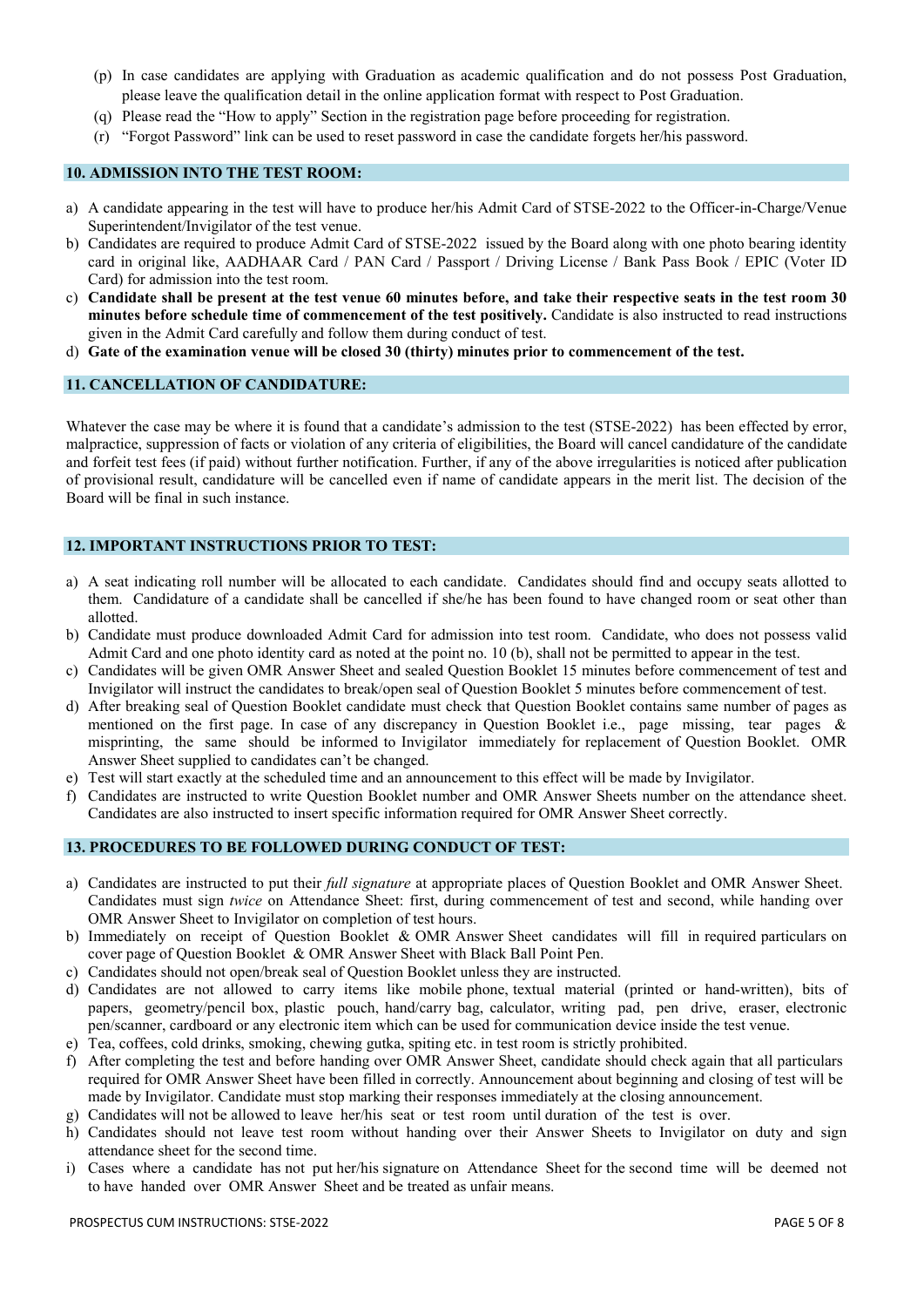- (p) In case candidates are applying with Graduation as academic qualification and do not possess Post Graduation, please leave the qualification detail in the online application format with respect to Post Graduation.
- (q) Please read the "How to apply" Section in the registration page before proceeding for registration.
- (r) "Forgot Password" link can be used to reset password in case the candidate forgets her/his password.

#### 10. ADMISSION INTO THE TEST ROOM:

- a) A candidate appearing in the test will have to produce her/his Admit Card of STSE-2022 to the Officer-in-Charge/Venue Superintendent/Invigilator of the test venue.
- b) Candidates are required to produce Admit Card of STSE-2022 issued by the Board along with one photo bearing identity card in original like, AADHAAR Card / PAN Card / Passport / Driving License / Bank Pass Book / EPIC (Voter ID Card) for admission into the test room.
- c) Candidate shall be present at the test venue 60 minutes before, and take their respective seats in the test room 30 minutes before schedule time of commencement of the test positively. Candidate is also instructed to read instructions given in the Admit Card carefully and follow them during conduct of test.
- d) Gate of the examination venue will be closed 30 (thirty) minutes prior to commencement of the test.

# 11. CANCELLATION OF CANDIDATURE:

Whatever the case may be where it is found that a candidate's admission to the test (STSE-2022) has been effected by error, malpractice, suppression of facts or violation of any criteria of eligibilities, the Board will cancel candidature of the candidate and forfeit test fees (if paid) without further notification. Further, if any of the above irregularities is noticed after publication of provisional result, candidature will be cancelled even if name of candidate appears in the merit list. The decision of the Board will be final in such instance.

# 12. IMPORTANT INSTRUCTIONS PRIOR TO TEST:

- a) A seat indicating roll number will be allocated to each candidate. Candidates should find and occupy seats allotted to them. Candidature of a candidate shall be cancelled if she/he has been found to have changed room or seat other than allotted.
- b) Candidate must produce downloaded Admit Card for admission into test room. Candidate, who does not possess valid Admit Card and one photo identity card as noted at the point no. 10 (b), shall not be permitted to appear in the test.
- c) Candidates will be given OMR Answer Sheet and sealed Question Booklet 15 minutes before commencement of test and Invigilator will instruct the candidates to break/open seal of Question Booklet 5 minutes before commencement of test.
- d) After breaking seal of Question Booklet candidate must check that Question Booklet contains same number of pages as mentioned on the first page. In case of any discrepancy in Question Booklet i.e., page missing, tear pages & misprinting, the same should be informed to Invigilator immediately for replacement of Question Booklet. OMR Answer Sheet supplied to candidates can't be changed.
- e) Test will start exactly at the scheduled time and an announcement to this effect will be made by Invigilator.
- f) Candidates are instructed to write Question Booklet number and OMR Answer Sheets number on the attendance sheet. Candidates are also instructed to insert specific information required for OMR Answer Sheet correctly.

## 13. PROCEDURES TO BE FOLLOWED DURING CONDUCT OF TEST:

- a) Candidates are instructed to put their *full signature* at appropriate places of Question Booklet and OMR Answer Sheet. Candidates must sign *twice* on Attendance Sheet: first, during commencement of test and second, while handing over OMR Answer Sheet to Invigilator on completion of test hours.
- b) Immediately on receipt of Question Booklet & OMR Answer Sheet candidates will fill in required particulars on cover page of Question Booklet & OMR Answer Sheet with Black Ball Point Pen.
- c) Candidates should not open/break seal of Question Booklet unless they are instructed.
- d) Candidates are not allowed to carry items like mobile phone, textual material (printed or hand-written), bits of papers, geometry/pencil box, plastic pouch, hand/carry bag, calculator, writing pad, pen drive, eraser, electronic pen/scanner, cardboard or any electronic item which can be used for communication device inside the test venue.
- e) Tea, coffees, cold drinks, smoking, chewing gutka, spiting etc. in test room is strictly prohibited.
- f) After completing the test and before handing over OMR Answer Sheet, candidate should check again that all particulars required for OMR Answer Sheet have been filled in correctly. Announcement about beginning and closing of test will be made by Invigilator. Candidate must stop marking their responses immediately at the closing announcement.
- g) Candidates will not be allowed to leave her/his seat or test room until duration of the test is over.
- h) Candidates should not leave test room without handing over their Answer Sheets to Invigilator on duty and sign attendance sheet for the second time.
- i) Cases where a candidate has not put her/his signature on Attendance Sheet for the second time will be deemed not to have handed over OMR Answer Sheet and be treated as unfair means.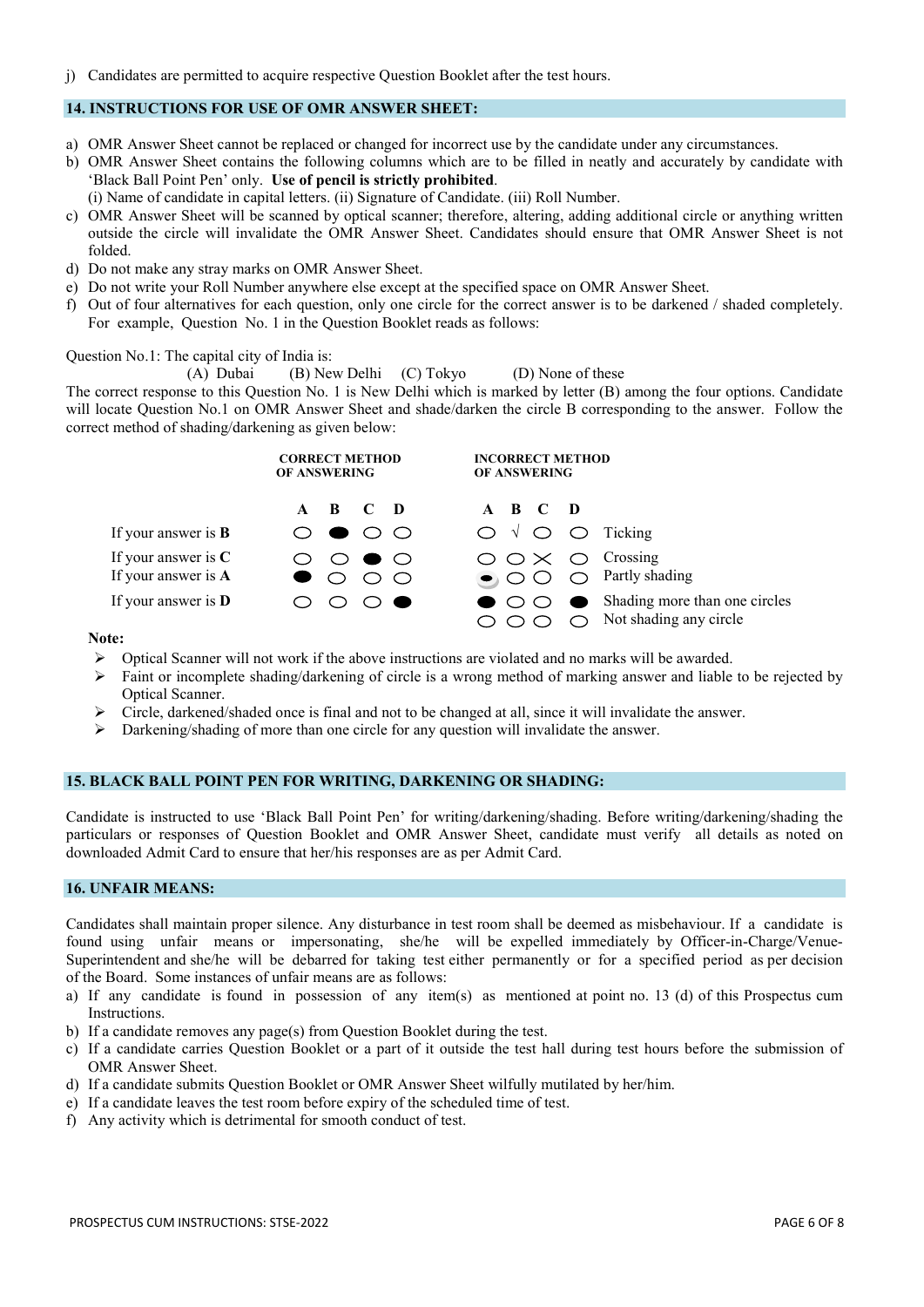j) Candidates are permitted to acquire respective Question Booklet after the test hours.

## 14. INSTRUCTIONS FOR USE OF OMR ANSWER SHEET:

- a) OMR Answer Sheet cannot be replaced or changed for incorrect use by the candidate under any circumstances.
- b) OMR Answer Sheet contains the following columns which are to be filled in neatly and accurately by candidate with 'Black Ball Point Pen' only. Use of pencil is strictly prohibited.
	- (i) Name of candidate in capital letters. (ii) Signature of Candidate. (iii) Roll Number.
- c) OMR Answer Sheet will be scanned by optical scanner; therefore, altering, adding additional circle or anything written outside the circle will invalidate the OMR Answer Sheet. Candidates should ensure that OMR Answer Sheet is not folded.
- d) Do not make any stray marks on OMR Answer Sheet.
- e) Do not write your Roll Number anywhere else except at the specified space on OMR Answer Sheet.
- f) Out of four alternatives for each question, only one circle for the correct answer is to be darkened / shaded completely. For example, Question No. 1 in the Question Booklet reads as follows:

### Question No.1: The capital city of India is:

(A) Dubai (B) New Delhi (C) Tokyo (D) None of these

The correct response to this Question No. 1 is New Delhi which is marked by letter (B) among the four options. Candidate will locate Question No.1 on OMR Answer Sheet and shade/darken the circle B corresponding to the answer. Follow the correct method of shading/darkening as given below:

|                                              | <b>CORRECT METHOD</b><br><b>OF ANSWERING</b>                  | <b>INCORRECT METHOD</b><br><b>OF ANSWERING</b>                                                                 |
|----------------------------------------------|---------------------------------------------------------------|----------------------------------------------------------------------------------------------------------------|
|                                              | A B C D                                                       | A B C D                                                                                                        |
| If your answer is $B$                        | O O                                                           | $\bigcirc \vee \bigcirc \bigcirc$ Ticking                                                                      |
| If your answer is $C$<br>If your answer is A | $\circ \bullet \circ$<br>$\circ$ $\circ$<br>$\bullet$ $\circ$ | $\bigcirc$ $\bigcirc \times$ $\bigcirc$ Crossing<br>$\bigcirc$ $\bigcirc$ $\bigcirc$ $\bigcirc$ Partly shading |
| If your answer is $D$                        | $\bigcirc$ $\bullet$                                          | Shading more than one circles<br>$\bullet$ $\circ$ $\bullet$<br>$\bigcirc$ Not shading any circle              |

## Note:

- $\triangleright$  Optical Scanner will not work if the above instructions are violated and no marks will be awarded.
- $\triangleright$  Faint or incomplete shading/darkening of circle is a wrong method of marking answer and liable to be rejected by Optical Scanner.
- $\triangleright$  Circle, darkened/shaded once is final and not to be changed at all, since it will invalidate the answer.
- $\triangleright$  Darkening/shading of more than one circle for any question will invalidate the answer.

## 15. BLACK BALL POINT PEN FOR WRITING, DARKENING OR SHADING:

Candidate is instructed to use 'Black Ball Point Pen' for writing/darkening/shading. Before writing/darkening/shading the particulars or responses of Question Booklet and OMR Answer Sheet, candidate must verify all details as noted on downloaded Admit Card to ensure that her/his responses are as per Admit Card.

## 16. UNFAIR MEANS:

Candidates shall maintain proper silence. Any disturbance in test room shall be deemed as misbehaviour. If a candidate is found using unfair means or impersonating, she/he will be expelled immediately by Officer-in-Charge/Venue-Superintendent and she/he will be debarred for taking test either permanently or for a specified period as per decision of the Board. Some instances of unfair means are as follows:

- a) If any candidate is found in possession of any item(s) as mentioned at point no. 13 (d) of this Prospectus cum Instructions.
- b) If a candidate removes any page(s) from Question Booklet during the test.
- c) If a candidate carries Question Booklet or a part of it outside the test hall during test hours before the submission of OMR Answer Sheet.
- d) If a candidate submits Question Booklet or OMR Answer Sheet wilfully mutilated by her/him.
- e) If a candidate leaves the test room before expiry of the scheduled time of test.
- f) Any activity which is detrimental for smooth conduct of test.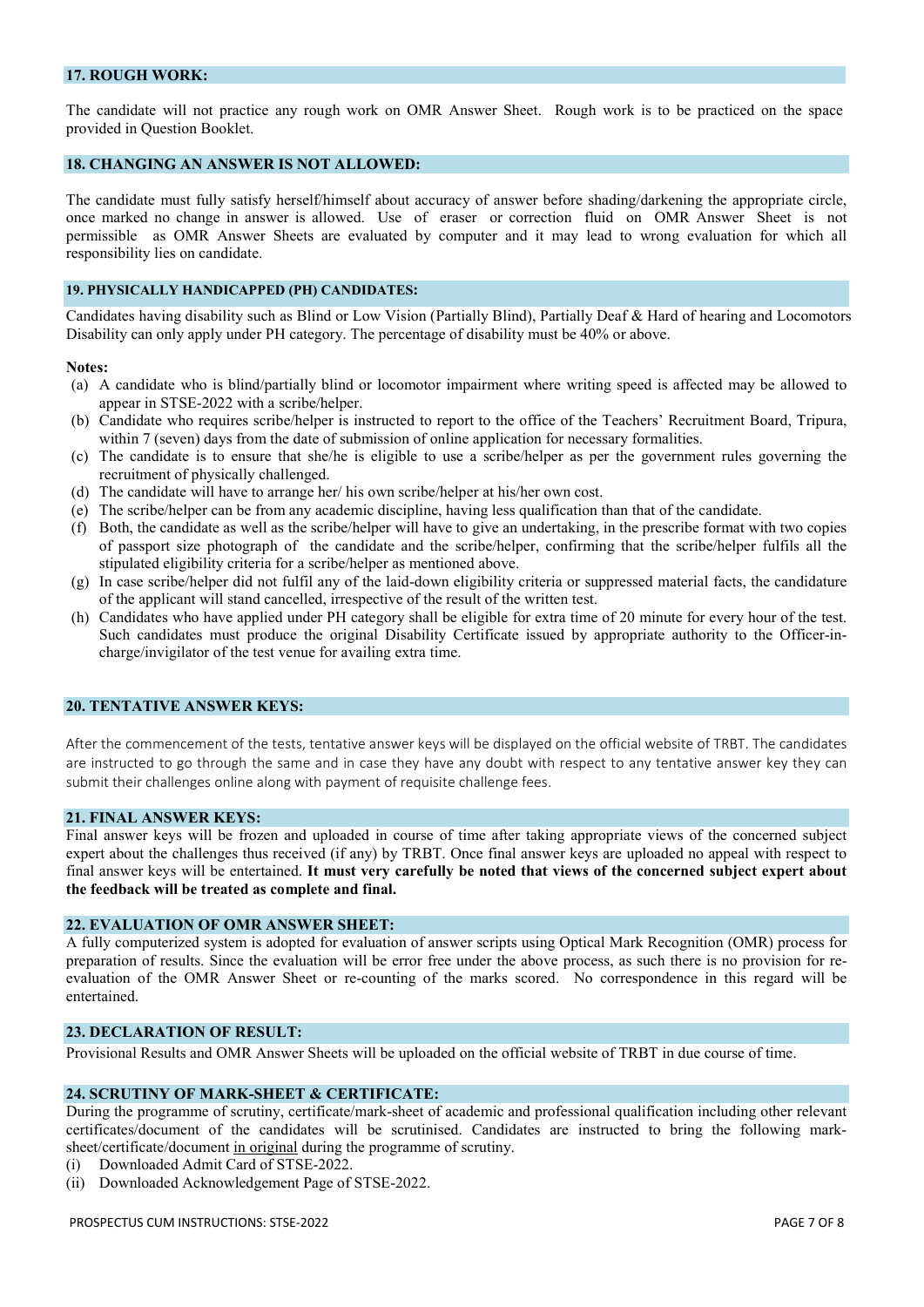## 17. ROUGH WORK:

The candidate will not practice any rough work on OMR Answer Sheet. Rough work is to be practiced on the space provided in Question Booklet.

# 18. CHANGING AN ANSWER IS NOT ALLOWED:

The candidate must fully satisfy herself/himself about accuracy of answer before shading/darkening the appropriate circle, once marked no change in answer is allowed. Use of eraser or correction fluid on OMR Answer Sheet is not permissible as OMR Answer Sheets are evaluated by computer and it may lead to wrong evaluation for which all responsibility lies on candidate.

#### 19. PHYSICALLY HANDICAPPED (PH) CANDIDATES:

Candidates having disability such as Blind or Low Vision (Partially Blind), Partially Deaf & Hard of hearing and Locomotors Disability can only apply under PH category. The percentage of disability must be 40% or above.

## Notes:

- (a) A candidate who is blind/partially blind or locomotor impairment where writing speed is affected may be allowed to appear in STSE-2022 with a scribe/helper.
- (b) Candidate who requires scribe/helper is instructed to report to the office of the Teachers' Recruitment Board, Tripura, within 7 (seven) days from the date of submission of online application for necessary formalities.
- (c) The candidate is to ensure that she/he is eligible to use a scribe/helper as per the government rules governing the recruitment of physically challenged.
- (d) The candidate will have to arrange her/ his own scribe/helper at his/her own cost.
- (e) The scribe/helper can be from any academic discipline, having less qualification than that of the candidate.
- (f) Both, the candidate as well as the scribe/helper will have to give an undertaking, in the prescribe format with two copies of passport size photograph of the candidate and the scribe/helper, confirming that the scribe/helper fulfils all the stipulated eligibility criteria for a scribe/helper as mentioned above.
- (g) In case scribe/helper did not fulfil any of the laid-down eligibility criteria or suppressed material facts, the candidature of the applicant will stand cancelled, irrespective of the result of the written test.
- (h) Candidates who have applied under PH category shall be eligible for extra time of 20 minute for every hour of the test. Such candidates must produce the original Disability Certificate issued by appropriate authority to the Officer-incharge/invigilator of the test venue for availing extra time.

# 20. TENTATIVE ANSWER KEYS:

After the commencement of the tests, tentative answer keys will be displayed on the official website of TRBT. The candidates are instructed to go through the same and in case they have any doubt with respect to any tentative answer key they can submit their challenges online along with payment of requisite challenge fees.

#### 21. FINAL ANSWER KEYS:

Final answer keys will be frozen and uploaded in course of time after taking appropriate views of the concerned subject expert about the challenges thus received (if any) by TRBT. Once final answer keys are uploaded no appeal with respect to final answer keys will be entertained. It must very carefully be noted that views of the concerned subject expert about the feedback will be treated as complete and final.

# 22. EVALUATION OF OMR ANSWER SHEET:

A fully computerized system is adopted for evaluation of answer scripts using Optical Mark Recognition (OMR) process for preparation of results. Since the evaluation will be error free under the above process, as such there is no provision for reevaluation of the OMR Answer Sheet or re-counting of the marks scored. No correspondence in this regard will be entertained.

## 23. DECLARATION OF RESULT:

Provisional Results and OMR Answer Sheets will be uploaded on the official website of TRBT in due course of time.

## 24. SCRUTINY OF MARK-SHEET & CERTIFICATE:

During the programme of scrutiny, certificate/mark-sheet of academic and professional qualification including other relevant certificates/document of the candidates will be scrutinised. Candidates are instructed to bring the following marksheet/certificate/document in original during the programme of scrutiny.

- (i) Downloaded Admit Card of STSE-2022.
- (ii) Downloaded Acknowledgement Page of STSE-2022.